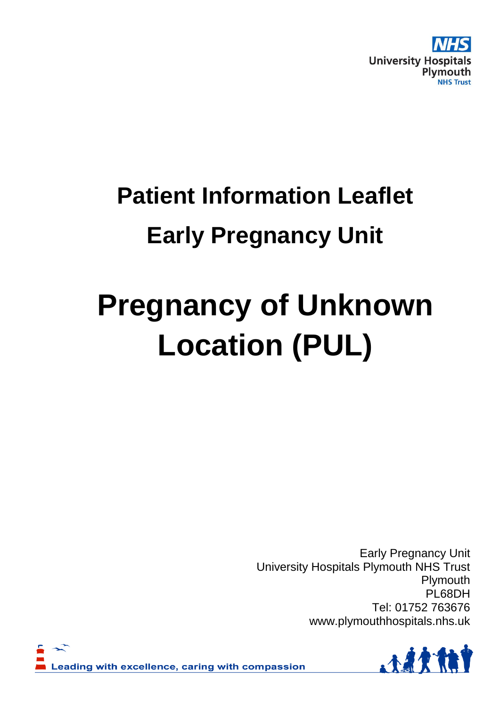

## **Patient Information Leaflet Early Pregnancy Unit**

# **Pregnancy of Unknown Location (PUL)**

Early Pregnancy Unit University Hospitals Plymouth NHS Trust Plymouth PL68DH Tel: 01752 763676 www.plymouthhospitals.nhs.uk



Leading with excellence, caring with compassion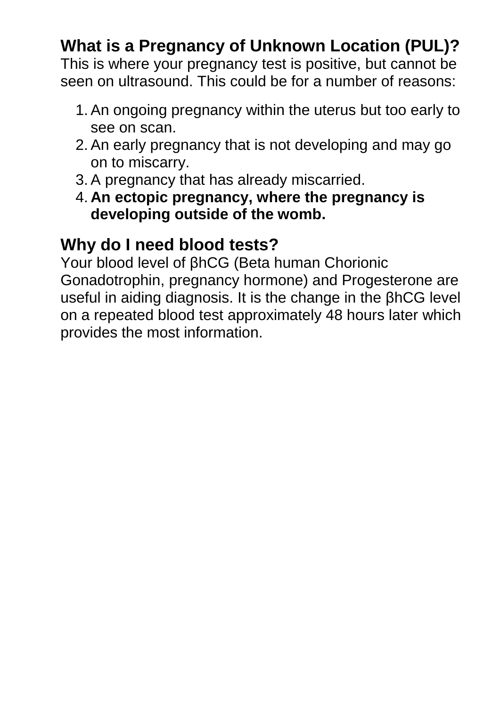### **What is a Pregnancy of Unknown Location (PUL)?**

This is where your pregnancy test is positive, but cannot be seen on ultrasound. This could be for a number of reasons:

- 1. An ongoing pregnancy within the uterus but too early to see on scan.
- 2. An early pregnancy that is not developing and may go on to miscarry.
- 3. A pregnancy that has already miscarried.
- 4. **An ectopic pregnancy, where the pregnancy is developing outside of the womb.**

#### **Why do I need blood tests?**

Your blood level of βhCG (Beta human Chorionic Gonadotrophin, pregnancy hormone) and Progesterone are useful in aiding diagnosis. It is the change in the βhCG level on a repeated blood test approximately 48 hours later which provides the most information.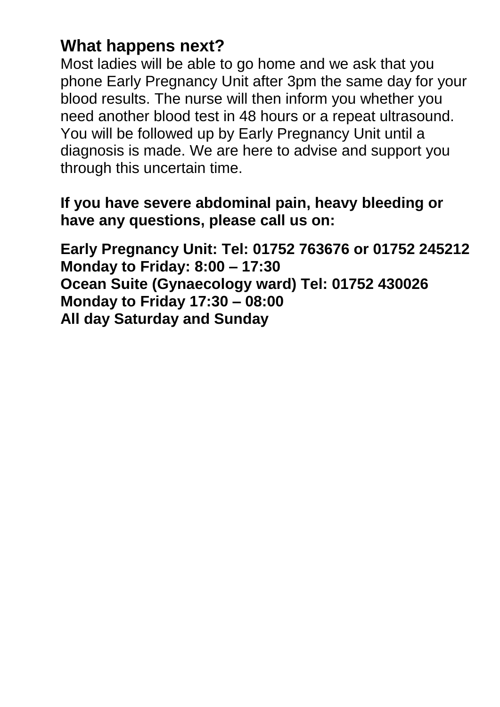#### **What happens next?**

Most ladies will be able to go home and we ask that you phone Early Pregnancy Unit after 3pm the same day for your blood results. The nurse will then inform you whether you need another blood test in 48 hours or a repeat ultrasound. You will be followed up by Early Pregnancy Unit until a diagnosis is made. We are here to advise and support you through this uncertain time.

#### **If you have severe abdominal pain, heavy bleeding or have any questions, please call us on:**

**Early Pregnancy Unit: Tel: 01752 763676 or 01752 245212 Monday to Friday: 8:00 – 17:30 Ocean Suite (Gynaecology ward) Tel: 01752 430026 Monday to Friday 17:30 – 08:00 All day Saturday and Sunday**